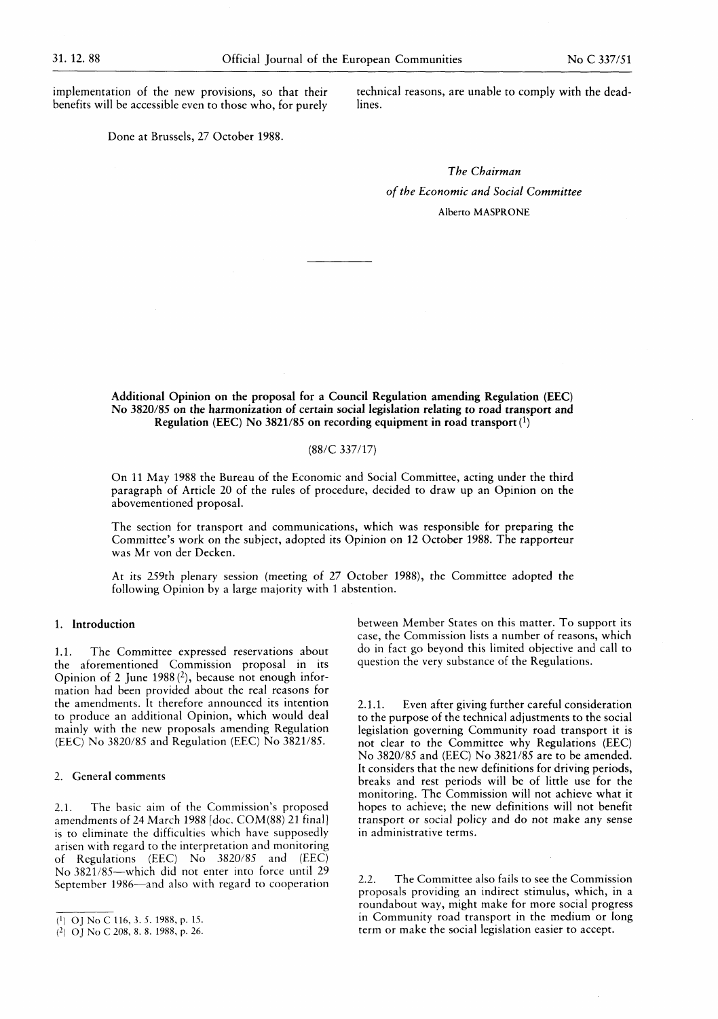implementation of the new provisions, so that their benefits will be accessible even to those who, for purely technical reasons, are unable to comply with the deadlines.

Done at Brussels, 27 October 1988.

# *The Chairman of the Economic and Social Committee*  Alberto MASPRONE

Additional Opinion on the proposal for a Council Regulation amending Regulation (EEC) No 3820/85 on the harmonization of certain social legislation relating to road transport and Regulation (EEC) No 3821/85 on recording equipment in road transport *i})* 

#### (88/C 337/17)

On 11 May 1988 the Bureau of the Economic and Social Committee, acting under the third paragraph of Article 20 of the rules of procedure, decided to draw up an Opinion on the abovementioned proposal.

The section for transport and communications, which was responsible for preparing the Committee's work on the subject, adopted its Opinion on 12 October 1988. The rapporteur was Mr von der Decken.

At its 259th plenary session (meeting of 27 October 1988), the Committee adopted the following Opinion by a large majority with 1 abstention.

### 1. Introduction

1.1. The Committee expressed reservations about the aforementioned Commission proposal in its Opinion of 2 June 1988 $(2)$ , because not enough information had been provided about the real reasons for the amendments. It therefore announced its intention to produce an additional Opinion, which would deal mainly with the new proposals amending Regulation (EEC) No 3820/85 and Regulation (EEC) No 3821/85.

#### 2. General comments

2.1. The basic aim of the Commission's proposed amendments of 24 March 1988 [doc. COM(88) 21 final] is to eliminate the difficulties which have supposedly arisen with regard to the interpretation and monitoring of Regulations (EEC) No 3820/85 and (EEC) No 3821/85—which did not enter into force until 29 September 1986—and also with regard to cooperation between Member States on this matter. To support its case, the Commission lists a number of reasons, which do in fact go beyond this limited objective and call to question the very substance of the Regulations.

2.1.1. Even after giving further careful consideration to the purpose of the technical adjustments to the social legislation governing Community road transport it is not clear to the Committee why Regulations (EEC) No 3820/85 and (EEC) No 3821/85 are to be amended. It considers that the new definitions for driving periods, breaks and rest periods will be of little use for the monitoring. The Commission will not achieve what it hopes to achieve; the new definitions will not benefit transport or social policy and do not make any sense in administrative terms.

2.2. The Committee also fails to see the Commission proposals providing an indirect stimulus, which, in a roundabout way, might make for more social progress in Community road transport in the medium or long term or make the social legislation easier to accept.

<sup>(&#</sup>x27;) OJ NoC 116,3.5. 1988, p. 15.

 $(2)$  OJ No C 208, 8. 8. 1988, p. 26.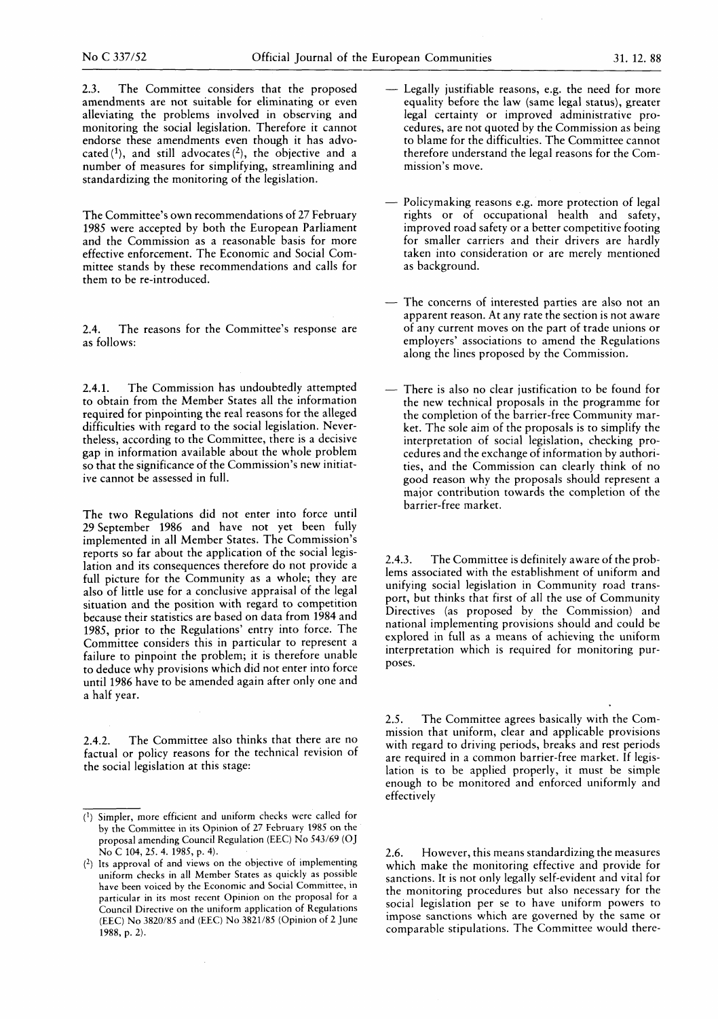2.3. The Committee considers that the proposed amendments are not suitable for eliminating or even alleviating the problems involved in observing and monitoring the social legislation. Therefore it cannot endorse these amendments even though it has advocated  $(1)$ , and still advocates  $(2)$ , the objective and a number of measures for simplifying, streamlining and standardizing the monitoring of the legislation.

The Committee's own recommendations of 27 February 1985 were accepted by both the European Parliament and the Commission as a reasonable basis for more effective enforcement. The Economic and Social Committee stands by these recommendations and calls for them to be re-introduced.

2.4. The reasons for the Committee's response are as follows:

2.4.1. The Commission has undoubtedly attempted to obtain from the Member States all the information required for pinpointing the real reasons for the alleged difficulties with regard to the social legislation. Nevertheless, according to the Committee, there is a decisive gap in information available about the whole problem so that the significance of the Commission's new initiative cannot be assessed in full.

The two Regulations did not enter into force until 29 September 1986 and have not yet been fully implemented in all Member States. The Commission's reports so far about the application of the social legislation and its consequences therefore do not provide a full picture for the Community as a whole; they are also of little use for a conclusive appraisal of the legal situation and the position with regard to competition because their statistics are based on data from 1984 and 1985, prior to the Regulations' entry into force. The Committee considers this in particular to represent a failure to pinpoint the problem; it is therefore unable to deduce why provisions which did not enter into force until 1986 have to be amended again after only one and a half year.

2.4.2. The Committee also thinks that there are no factual or policy reasons for the technical revision of the social legislation at this stage:

- Legally justifiable reasons, e.g. the need for more equality before the law (same legal status), greater legal certainty or improved administrative procedures, are not quoted by the Commission as being to blame for the difficulties. The Committee cannot therefore understand the legal reasons for the Commission's move.
- Policymaking reasons e.g. more protection of legal rights or of occupational health and safety, improved road safety or a better competitive footing for smaller carriers and their drivers are hardly taken into consideration or are merely mentioned as background.
- The concerns of interested parties are also not an apparent reason. At any rate the section is not aware of any current moves on the part of trade unions or employers' associations to amend the Regulations along the lines proposed by the Commission.
- There is also no clear justification to be found for the new technical proposals in the programme for the completion of the barrier-free Community market. The sole aim of the proposals is to simplify the interpretation of social legislation, checking procedures and the exchange of information by authorities, and the Commission can clearly think of no good reason why the proposals should represent a major contribution towards the completion of the barrier-free market.

2.4.3. The Committee is definitely aware of the problems associated with the establishment of uniform and unifying social legislation in Community road transport, but thinks that first of all the use of Community Directives (as proposed by the Commission) and national implementing provisions should and could be explored in full as a means of achieving the uniform interpretation which is required for monitoring purposes.

2.5. The Committee agrees basically with the Commission that uniform, clear and applicable provisions with regard to driving periods, breaks and rest periods are required in a common barrier-free market. If legislation is to be applied properly, it must be simple enough to be monitored and enforced uniformly and effectively

2.6. However, this means standardizing the measures which make the monitoring effective and provide for sanctions. It is not only legally self-evident and vital for the monitoring procedures but also necessary for the social legislation per se to have uniform powers to impose sanctions which are governed by the same or comparable stipulations. The Committee would there-

<sup>(!)</sup> Simpler, more efficient and uniform checks were called for by the Committee in its Opinion of 27 February 1985 on the proposal amending Council Regulation (EEC) No 543/69 (OJ No C 104, 25. 4. 1985, p. 4).

<sup>(</sup> 2 ) Its approval of and views on the objective of implementing uniform checks in all Member States as quickly as possible have been voiced by the Economic and Social Committee, in particular in its most recent Opinion on the proposal for a Council Directive on the uniform application of Regulations (EEC) No 3820/85 and (EEC) No 3821/85 (Opinion of 2 June 1988, p. 2).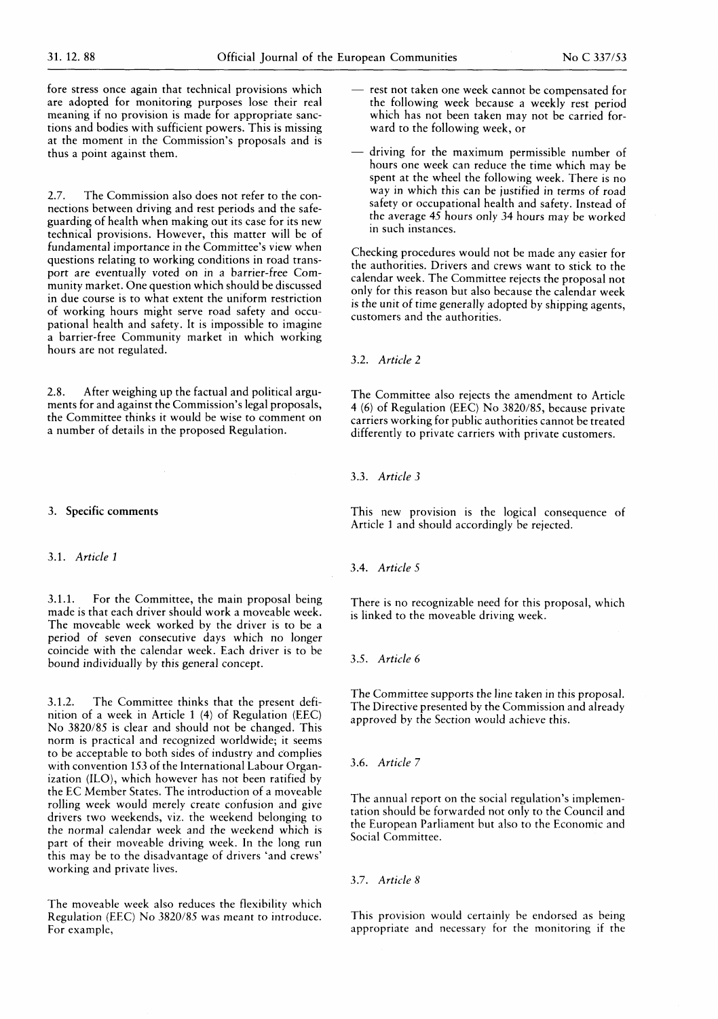fore stress once again that technical provisions which are adopted for monitoring purposes lose their real meaning if no provision is made for appropriate sanctions and bodies with sufficient powers. This is missing at the moment in the Commission's proposals and is thus a point against them.

2.7. The Commission also does not refer to the connections between driving and rest periods and the safeguarding of health when making out its case for its new technical provisions. However, this matter will be of fundamental importance in the Committee's view when questions relating to working conditions in road transport are eventually voted on in a barrier-free Community market. One question which should be discussed in due course is to what extent the uniform restriction of working hours might serve road safety and occupational health and safety. It is impossible to imagine a barrier-free Community market in which working hours are not regulated.

2.8. After weighing up the factual and political arguments for and against the Commission's legal proposals, the Committee thinks it would be wise to comment on a number of details in the proposed Regulation.

#### 3. Specific comments

### 3.1. *Article 1*

3.1.1. For the Committee, the main proposal being made is that each driver should work a moveable week. The moveable week worked by the driver is to be a period of seven consecutive days which no longer coincide with the calendar week. Each driver is to be bound individually by this general concept.

3.1.2. The Committee thinks that the present definition of a week in Article 1 (4) of Regulation (EEC) No 3820/85 is clear and should not be changed. This norm is practical and recognized worldwide; it seems to be acceptable to both sides of industry and complies with convention 153 of the International Labour Organization (ILO), which however has not been ratified by the EC Member States. The introduction of a moveable rolling week would merely create confusion and give drivers two weekends, viz. the weekend belonging to the normal calendar week and the weekend which is part of their moveable driving week. In the long run this may be to the disadvantage of drivers 'and crews' working and private lives.

The moveable week also reduces the flexibility which Regulation (EEC) No 3820/85 was meant to introduce. For example,

- rest not taken one week cannot be compensated for the following week because a weekly rest period which has not been taken may not be carried forward to the following week, or
- driving for the maximum permissible number of hours one week can reduce the time which may be spent at the wheel the following week. There is no way in which this can be justified in terms of road safety or occupational health and safety. Instead of the average  $45$  hours only 34 hours may be worked in such instances.

Checking procedures would not be made any easier for the authorities. Drivers and crews want to stick to the calendar week. The Committee rejects the proposal not only for this reason but also because the calendar week is the unit of time generally adopted by shipping agents, customers and the authorities.

## 3.2. *Article 2*

The Committee also rejects the amendment to Article 4 (6) of Regulation (EEC) No 3820/85, because private carriers working for public authorities cannot be treated differently to private carriers with private customers.

3.3. *Article 3* 

This new provision is the logical consequence of Article 1 and should accordingly be rejected.

3.4. *Article 5* 

There is no recognizable need for this proposal, which is linked to the moveable driving week.

3.5. *Article* 6

The Committee supports the line taken in this proposal. The Directive presented by the Commission and already approved by the Section would achieve this.

3.6. *Article 7* 

The annual report on the social regulation's implementation should be forwarded not only to the Council and the European Parliament but also to the Economic and Social Committee.

3.7. *Article 8* 

This provision would certainly be endorsed as being appropriate and necessary for the monitoring if the